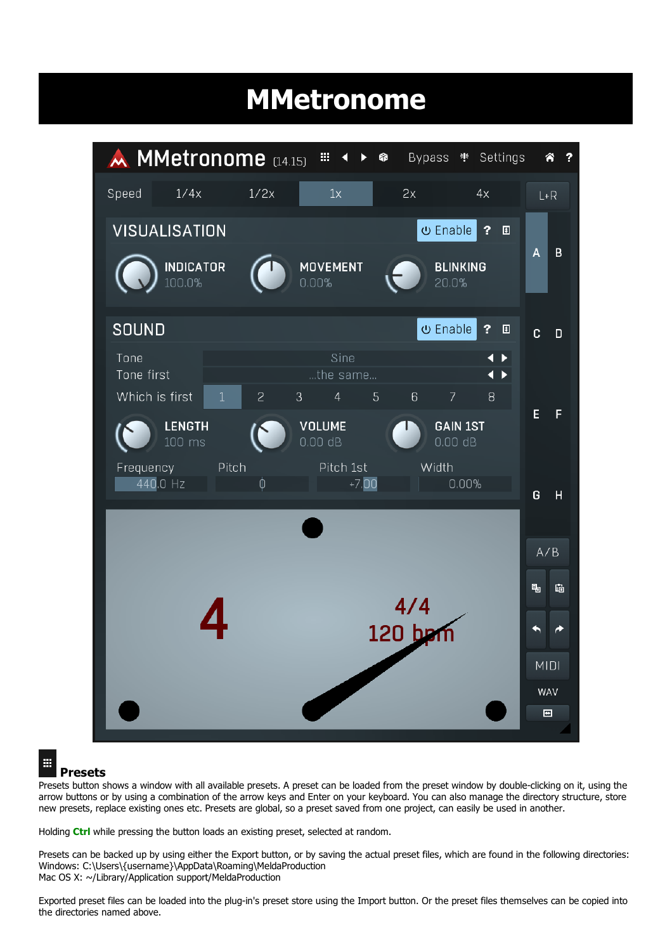# MMetronome



#### 噩

#### Presets

Presets button shows a window with all available presets. A preset can be loaded from the preset window by double-clicking on it, using the arrow buttons or by using a combination of the arrow keys and Enter on your keyboard. You can also manage the directory structure, store new presets, replace existing ones etc. Presets are global, so a preset saved from one project, can easily be used in another.

Holding Ctrl while pressing the button loads an existing preset, selected at random.

Presets can be backed up by using either the Export button, or by saving the actual preset files, which are found in the following directories: Windows: C:\Users\{username}\AppData\Roaming\MeldaProduction Mac OS X: ~/Library/Application support/MeldaProduction

Exported preset files can be loaded into the plug-in's preset store using the Import button. Or the preset files themselves can be copied into the directories named above.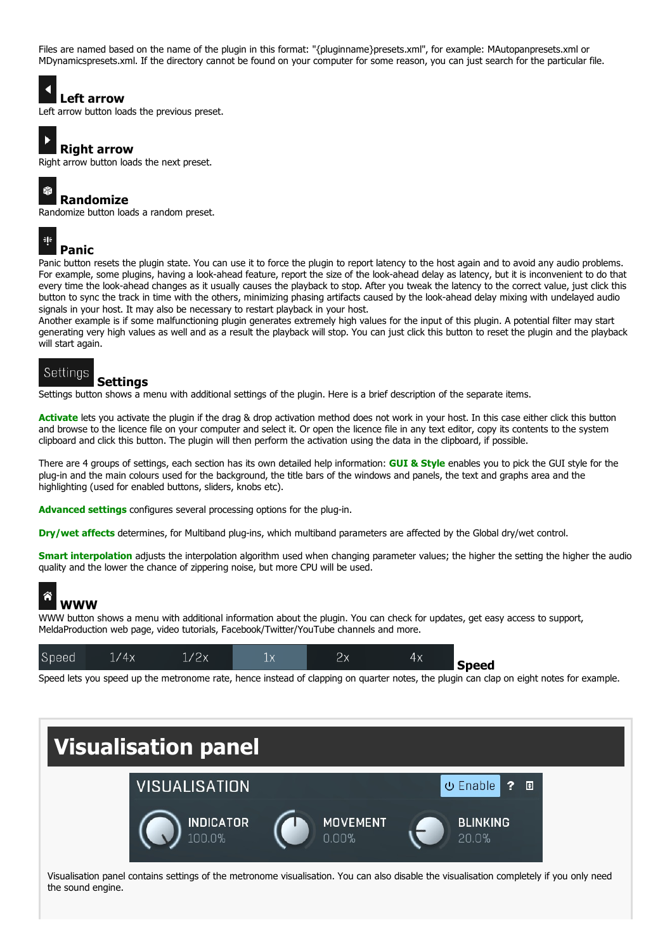Files are named based on the name of the plugin in this format: "{pluginname}presets.xml", for example: MAutopanpresets.xml or MDynamicspresets.xml. If the directory cannot be found on your computer for some reason, you can just search for the particular file.

### Left arrow

Left arrow button loads the previous preset.

Right arrow button loads the next preset.

#### 昂 Randomize

Right arrow

Randomize button loads a random preset.

### 非

**Panic**<br>Panic button resets the plugin state. You can use it to force the plugin to report latency to the host again and to avoid any audio problems. For example, some plugins, having a look-ahead feature, report the size of the look-ahead delay as latency, but it is inconvenient to do that every time the look-ahead changes as it usually causes the playback to stop. After you tweak the latency to the correct value, just click this button to sync the track in time with the others, minimizing phasing artifacts caused by the look-ahead delay mixing with undelayed audio signals in your host. It may also be necessary to restart playback in your host.

Another example is if some malfunctioning plugin generates extremely high values for the input of this plugin. A potential filter may start generating very high values as well and as a result the playback will stop. You can just click this button to reset the plugin and the playback will start again.

#### Settings

#### Settings

Settings button shows a menu with additional settings of the plugin. Here is a brief description of the separate items.

Activate lets you activate the plugin if the drag & drop activation method does not work in your host. In this case either click this button and browse to the licence file on your computer and select it. Or open the licence file in any text editor, copy its contents to the system clipboard and click this button. The plugin will then perform the activation using the data in the clipboard, if possible.

There are 4 groups of settings, each section has its own detailed help information: GUI & Style enables you to pick the GUI style for the plug-in and the main colours used for the background, the title bars of the windows and panels, the text and graphs area and the highlighting (used for enabled buttons, sliders, knobs etc).

Advanced settings configures several processing options for the plug-in.

Dry/wet affects determines, for Multiband plug-ins, which multiband parameters are affected by the Global dry/wet control.

Smart interpolation adjusts the interpolation algorithm used when changing parameter values; the higher the setting the higher the audio quality and the lower the chance of zippering noise, but more CPU will be used.

# WWW

WWW button shows a menu with additional information about the plugin. You can check for updates, get easy access to support, MeldaProduction web page, video tutorials, Facebook/Twitter/YouTube channels and more.

| 4х<br>тл<br>⊥八<br>Speed |  |  | '2x |  | Speed |
|-------------------------|--|--|-----|--|-------|
|-------------------------|--|--|-----|--|-------|

Speed lets you speed up the metronome rate, hence instead of clapping on quarter notes, the plugin can clap on eight notes for example.



Visualisation panel contains settings of the metronome visualisation. You can also disable the visualisation completely if you only need the sound engine.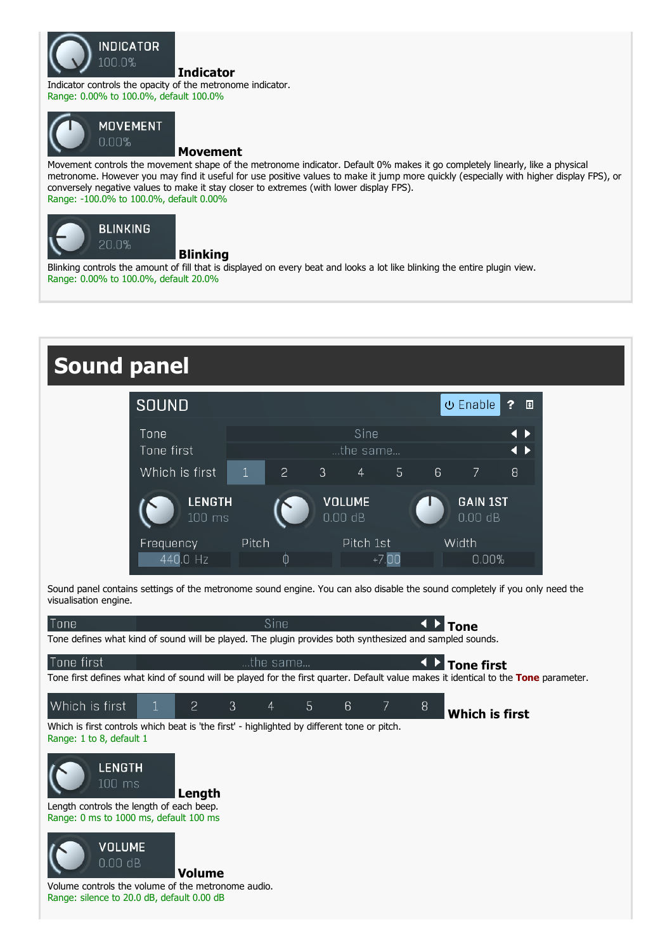

Indicator

Indicator controls the opacity of the metronome indicator. Range: 0.00% to 100.0%, default 100.0%



#### **MOVEMENT**  $0.00%$

#### Movement

Movement controls the movement shape of the metronome indicator. Default 0% makes it go completely linearly, like a physical metronome. However you may find it useful for use positive values to make it jump more quickly (especially with higher display FPS), or conversely negative values to make it stay closer to extremes (with lower display FPS). Range: -100.0% to 100.0%, default 0.00%



#### Blinking

Blinking controls the amount of fill that is displayed on every beat and looks a lot like blinking the entire plugin view. Range: 0.00% to 100.0%, default 20.0%